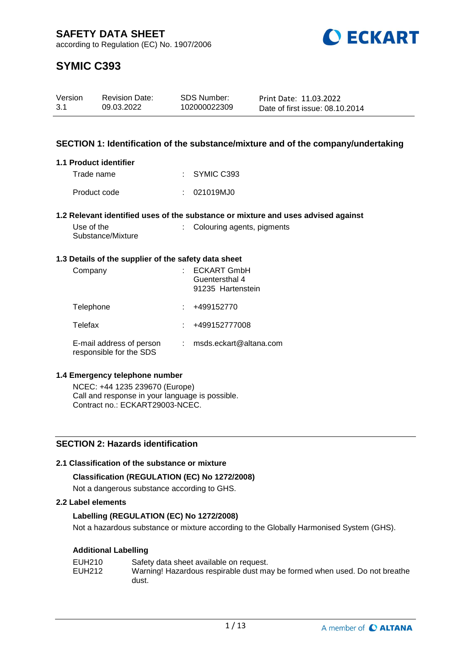

# **SYMIC C393**

| Version | <b>Revision Date:</b> | SDS Number:  | Print Date: 11.03.2022          |
|---------|-----------------------|--------------|---------------------------------|
| -3.1    | 09.03.2022            | 102000022309 | Date of first issue: 08.10.2014 |

# **SECTION 1: Identification of the substance/mixture and of the company/undertaking**

#### **1.1 Product identifier**

| Trade name   | $\therefore$ SYMIC C393 |
|--------------|-------------------------|
| Product code | : 021019MJO             |

#### **1.2 Relevant identified uses of the substance or mixture and uses advised against**

| Use of the        |  |
|-------------------|--|
| Substance/Mixture |  |

# : Colouring agents, pigments

#### **1.3 Details of the supplier of the safety data sheet**

| Company                                             | <b>ECKART GmbH</b><br>Guentersthal 4<br>91235 Hartenstein |
|-----------------------------------------------------|-----------------------------------------------------------|
| Telephone                                           | +499152770                                                |
| Telefax                                             | +499152777008                                             |
| E-mail address of person<br>responsible for the SDS | msds.eckart@altana.com                                    |

#### **1.4 Emergency telephone number**

NCEC: +44 1235 239670 (Europe) Call and response in your language is possible. Contract no.: ECKART29003-NCEC.

# **SECTION 2: Hazards identification**

# **2.1 Classification of the substance or mixture**

# **Classification (REGULATION (EC) No 1272/2008)**

Not a dangerous substance according to GHS.

### **2.2 Label elements**

# **Labelling (REGULATION (EC) No 1272/2008)**

Not a hazardous substance or mixture according to the Globally Harmonised System (GHS).

# **Additional Labelling**

| EUH210 | Safety data sheet available on request.                                    |
|--------|----------------------------------------------------------------------------|
| EUH212 | Warning! Hazardous respirable dust may be formed when used. Do not breathe |
|        | dust.                                                                      |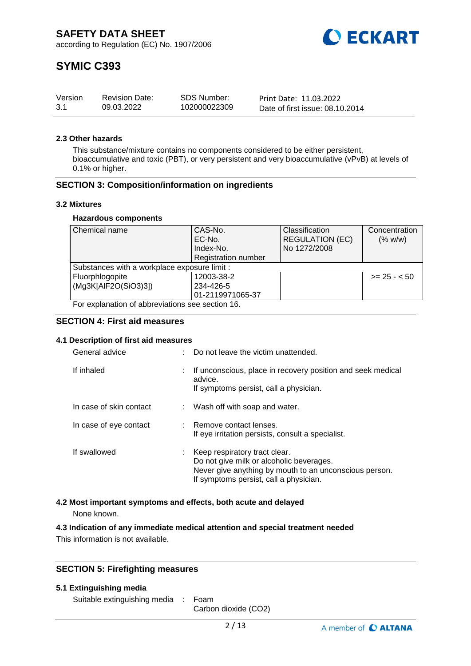

# **SYMIC C393**

| Version | <b>Revision Date:</b> | SDS Number:  | Print Date: 11.03.2022          |
|---------|-----------------------|--------------|---------------------------------|
| -3.1    | 09.03.2022            | 102000022309 | Date of first issue: 08.10.2014 |

#### **2.3 Other hazards**

This substance/mixture contains no components considered to be either persistent, bioaccumulative and toxic (PBT), or very persistent and very bioaccumulative (vPvB) at levels of 0.1% or higher.

### **SECTION 3: Composition/information on ingredients**

#### **3.2 Mixtures**

#### **Hazardous components**

| Chemical name                                    | CAS-No.                    | Classification         | Concentration |
|--------------------------------------------------|----------------------------|------------------------|---------------|
|                                                  | EC-No.                     | <b>REGULATION (EC)</b> | (% w/w)       |
|                                                  | Index-No.                  | No 1272/2008           |               |
|                                                  | <b>Registration number</b> |                        |               |
| Substances with a workplace exposure limit :     |                            |                        |               |
| Fluorphlogopite                                  | 12003-38-2                 |                        | $>= 25 - 50$  |
| (Mg3K[AlF2O(SiO3)3])                             | 234-426-5                  |                        |               |
|                                                  | 01-2119971065-37           |                        |               |
| For explanation of abbreviations see section 16. |                            |                        |               |

#### **SECTION 4: First aid measures**

#### **4.1 Description of first aid measures**

| General advice          | Do not leave the victim unattended.                                                                                                                                           |
|-------------------------|-------------------------------------------------------------------------------------------------------------------------------------------------------------------------------|
| If inhaled              | If unconscious, place in recovery position and seek medical<br>advice.<br>If symptoms persist, call a physician.                                                              |
| In case of skin contact | : Wash off with soap and water.                                                                                                                                               |
| In case of eye contact  | : Remove contact lenses.<br>If eye irritation persists, consult a specialist.                                                                                                 |
| If swallowed            | Keep respiratory tract clear.<br>Do not give milk or alcoholic beverages.<br>Never give anything by mouth to an unconscious person.<br>If symptoms persist, call a physician. |

#### **4.2 Most important symptoms and effects, both acute and delayed**

None known.

#### **4.3 Indication of any immediate medical attention and special treatment needed**

This information is not available.

### **SECTION 5: Firefighting measures**

#### **5.1 Extinguishing media**

Suitable extinguishing media : Foam

Carbon dioxide (CO2)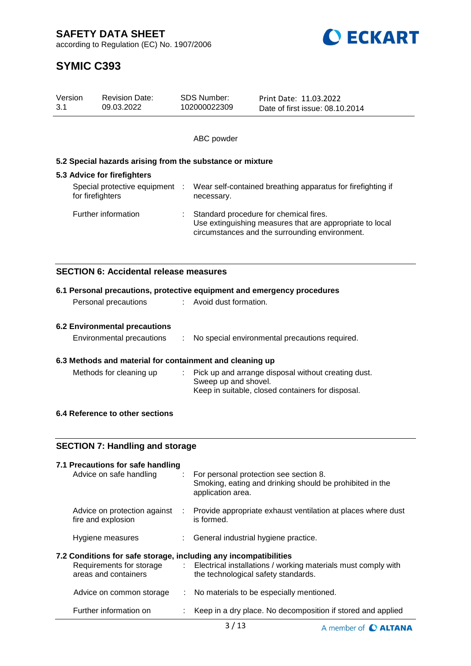according to Regulation (EC) No. 1907/2006



| Version<br>3.1            |                  | <b>Revision Date:</b><br>09.03.2022                              |    | <b>SDS Number:</b><br>102000022309                                        | Print Date: 11.03.2022<br>Date of first issue: 08.10.2014                                                                                            |  |
|---------------------------|------------------|------------------------------------------------------------------|----|---------------------------------------------------------------------------|------------------------------------------------------------------------------------------------------------------------------------------------------|--|
|                           |                  |                                                                  |    |                                                                           |                                                                                                                                                      |  |
|                           |                  |                                                                  |    | ABC powder                                                                |                                                                                                                                                      |  |
|                           |                  | 5.2 Special hazards arising from the substance or mixture        |    |                                                                           |                                                                                                                                                      |  |
|                           |                  | 5.3 Advice for firefighters                                      |    |                                                                           |                                                                                                                                                      |  |
|                           | for firefighters | Special protective equipment :                                   |    | Wear self-contained breathing apparatus for firefighting if<br>necessary. |                                                                                                                                                      |  |
|                           |                  | Further information                                              |    |                                                                           | Standard procedure for chemical fires.<br>Use extinguishing measures that are appropriate to local<br>circumstances and the surrounding environment. |  |
|                           |                  | <b>SECTION 6: Accidental release measures</b>                    |    |                                                                           |                                                                                                                                                      |  |
|                           |                  |                                                                  |    |                                                                           | 6.1 Personal precautions, protective equipment and emergency procedures                                                                              |  |
|                           |                  | Personal precautions                                             |    | Avoid dust formation.                                                     |                                                                                                                                                      |  |
|                           |                  |                                                                  |    |                                                                           |                                                                                                                                                      |  |
|                           |                  |                                                                  |    |                                                                           |                                                                                                                                                      |  |
|                           |                  | <b>6.2 Environmental precautions</b>                             |    |                                                                           |                                                                                                                                                      |  |
| Environmental precautions |                  | ÷                                                                |    | No special environmental precautions required.                            |                                                                                                                                                      |  |
|                           |                  | 6.3 Methods and material for containment and cleaning up         |    |                                                                           |                                                                                                                                                      |  |
|                           |                  | Methods for cleaning up                                          |    |                                                                           | Pick up and arrange disposal without creating dust.                                                                                                  |  |
|                           |                  |                                                                  |    | Sweep up and shovel.                                                      |                                                                                                                                                      |  |
|                           |                  |                                                                  |    |                                                                           | Keep in suitable, closed containers for disposal.                                                                                                    |  |
|                           |                  |                                                                  |    |                                                                           |                                                                                                                                                      |  |
|                           |                  | 6.4 Reference to other sections                                  |    |                                                                           |                                                                                                                                                      |  |
|                           |                  |                                                                  |    |                                                                           |                                                                                                                                                      |  |
|                           |                  | <b>SECTION 7: Handling and storage</b>                           |    |                                                                           |                                                                                                                                                      |  |
|                           |                  | 7.1 Precautions for safe handling                                |    |                                                                           |                                                                                                                                                      |  |
|                           |                  | Advice on safe handling                                          |    | application area.                                                         | For personal protection see section 8.<br>Smoking, eating and drinking should be prohibited in the                                                   |  |
|                           |                  | Advice on protection against<br>fire and explosion               | ÷. | is formed.                                                                | Provide appropriate exhaust ventilation at places where dust                                                                                         |  |
|                           |                  | Hygiene measures                                                 |    |                                                                           | General industrial hygiene practice.                                                                                                                 |  |
|                           |                  | 7.2 Conditions for safe storage, including any incompatibilities |    |                                                                           |                                                                                                                                                      |  |

| Requirements for storage<br>areas and containers | Electrical installations / working materials must comply with<br>the technological safety standards. |
|--------------------------------------------------|------------------------------------------------------------------------------------------------------|
| Advice on common storage                         | : No materials to be especially mentioned.                                                           |
| Further information on                           | : Keep in a dry place. No decomposition if stored and applied                                        |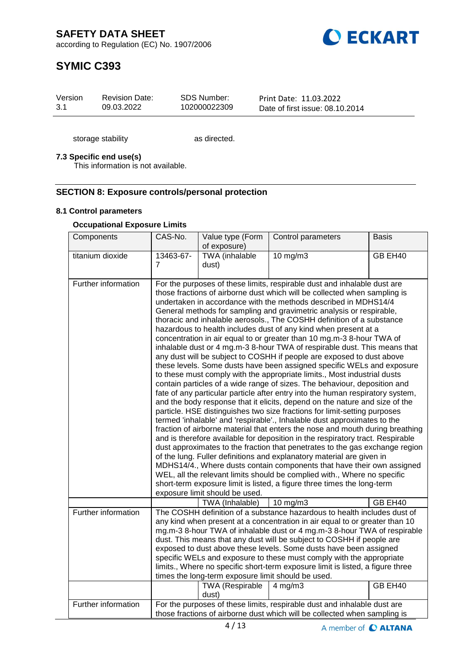

# **SYMIC C393**

| Version | <b>Revision Date:</b> | SDS Number:  | Print Date: 11.03.2022          |
|---------|-----------------------|--------------|---------------------------------|
| 3.1     | 09.03.2022            | 102000022309 | Date of first issue: 08.10.2014 |

storage stability as directed.

### **7.3 Specific end use(s)**

This information is not available.

### **SECTION 8: Exposure controls/personal protection**

#### **8.1 Control parameters**

### **Occupational Exposure Limits**

| Components          | CAS-No.                                                                                                                                               | Value type (Form<br>of exposure)                                             | Control parameters                                                                                                                                                                                                                                                                                                                                                                                                                                                                                                                                                                                                                                                                                                                                                                                                                                                                                                                                                                                                                                                                                                                                                                                                                                                                                                                                                                                                                                                                                                                                                                                                                                                                                                                                                                                    | <b>Basis</b> |  |
|---------------------|-------------------------------------------------------------------------------------------------------------------------------------------------------|------------------------------------------------------------------------------|-------------------------------------------------------------------------------------------------------------------------------------------------------------------------------------------------------------------------------------------------------------------------------------------------------------------------------------------------------------------------------------------------------------------------------------------------------------------------------------------------------------------------------------------------------------------------------------------------------------------------------------------------------------------------------------------------------------------------------------------------------------------------------------------------------------------------------------------------------------------------------------------------------------------------------------------------------------------------------------------------------------------------------------------------------------------------------------------------------------------------------------------------------------------------------------------------------------------------------------------------------------------------------------------------------------------------------------------------------------------------------------------------------------------------------------------------------------------------------------------------------------------------------------------------------------------------------------------------------------------------------------------------------------------------------------------------------------------------------------------------------------------------------------------------------|--------------|--|
| titanium dioxide    | 13463-67-<br>$\overline{7}$                                                                                                                           | TWA (inhalable<br>dust)                                                      | 10 mg/m3                                                                                                                                                                                                                                                                                                                                                                                                                                                                                                                                                                                                                                                                                                                                                                                                                                                                                                                                                                                                                                                                                                                                                                                                                                                                                                                                                                                                                                                                                                                                                                                                                                                                                                                                                                                              | GB EH40      |  |
| Further information |                                                                                                                                                       | exposure limit should be used.                                               | For the purposes of these limits, respirable dust and inhalable dust are<br>those fractions of airborne dust which will be collected when sampling is<br>undertaken in accordance with the methods described in MDHS14/4<br>General methods for sampling and gravimetric analysis or respirable,<br>thoracic and inhalable aerosols., The COSHH definition of a substance<br>hazardous to health includes dust of any kind when present at a<br>concentration in air equal to or greater than 10 mg.m-3 8-hour TWA of<br>inhalable dust or 4 mg.m-3 8-hour TWA of respirable dust. This means that<br>any dust will be subject to COSHH if people are exposed to dust above<br>these levels. Some dusts have been assigned specific WELs and exposure<br>to these must comply with the appropriate limits., Most industrial dusts<br>contain particles of a wide range of sizes. The behaviour, deposition and<br>fate of any particular particle after entry into the human respiratory system,<br>and the body response that it elicits, depend on the nature and size of the<br>particle. HSE distinguishes two size fractions for limit-setting purposes<br>termed 'inhalable' and 'respirable'., Inhalable dust approximates to the<br>fraction of airborne material that enters the nose and mouth during breathing<br>and is therefore available for deposition in the respiratory tract. Respirable<br>dust approximates to the fraction that penetrates to the gas exchange region<br>of the lung. Fuller definitions and explanatory material are given in<br>MDHS14/4., Where dusts contain components that have their own assigned<br>WEL, all the relevant limits should be complied with., Where no specific<br>short-term exposure limit is listed, a figure three times the long-term |              |  |
| Further information |                                                                                                                                                       | TWA (Inhalable)                                                              | $10 \text{ mg/m}$<br>The COSHH definition of a substance hazardous to health includes dust of                                                                                                                                                                                                                                                                                                                                                                                                                                                                                                                                                                                                                                                                                                                                                                                                                                                                                                                                                                                                                                                                                                                                                                                                                                                                                                                                                                                                                                                                                                                                                                                                                                                                                                         | GB EH40      |  |
|                     |                                                                                                                                                       | times the long-term exposure limit should be used.<br><b>TWA</b> (Respirable | any kind when present at a concentration in air equal to or greater than 10<br>mg.m-3 8-hour TWA of inhalable dust or 4 mg.m-3 8-hour TWA of respirable<br>dust. This means that any dust will be subject to COSHH if people are<br>exposed to dust above these levels. Some dusts have been assigned<br>specific WELs and exposure to these must comply with the appropriate<br>limits., Where no specific short-term exposure limit is listed, a figure three<br>$4$ mg/m $3$                                                                                                                                                                                                                                                                                                                                                                                                                                                                                                                                                                                                                                                                                                                                                                                                                                                                                                                                                                                                                                                                                                                                                                                                                                                                                                                       | GB EH40      |  |
| Further information |                                                                                                                                                       | dust)                                                                        |                                                                                                                                                                                                                                                                                                                                                                                                                                                                                                                                                                                                                                                                                                                                                                                                                                                                                                                                                                                                                                                                                                                                                                                                                                                                                                                                                                                                                                                                                                                                                                                                                                                                                                                                                                                                       |              |  |
|                     | For the purposes of these limits, respirable dust and inhalable dust are<br>those fractions of airborne dust which will be collected when sampling is |                                                                              |                                                                                                                                                                                                                                                                                                                                                                                                                                                                                                                                                                                                                                                                                                                                                                                                                                                                                                                                                                                                                                                                                                                                                                                                                                                                                                                                                                                                                                                                                                                                                                                                                                                                                                                                                                                                       |              |  |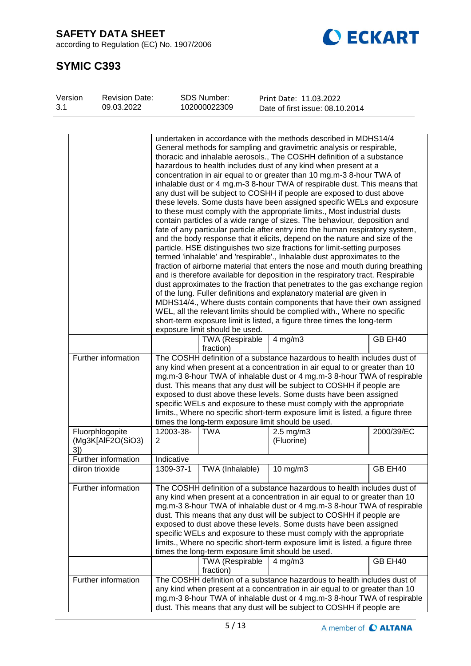according to Regulation (EC) No. 1907/2006



| Version<br>3.1 | <b>Revision Date:</b><br>09.03.2022  |                                                                                                                                                                                                                                                                                                                                                                                                                                                                                                                       | <b>SDS Number:</b><br>102000022309                                    | Print Date: 11.03.2022<br>Date of first issue: 08.10.2014                                                                                                                                                                                                                                                                                                                                                                                                                                                                                                                                                                                                                                                                                                                                                                                                                                                                                                                                                                                                                                                                                                                                                                                                                                                                                                                                                                                                                                                                                                                                                                                                                                                                                |            |
|----------------|--------------------------------------|-----------------------------------------------------------------------------------------------------------------------------------------------------------------------------------------------------------------------------------------------------------------------------------------------------------------------------------------------------------------------------------------------------------------------------------------------------------------------------------------------------------------------|-----------------------------------------------------------------------|------------------------------------------------------------------------------------------------------------------------------------------------------------------------------------------------------------------------------------------------------------------------------------------------------------------------------------------------------------------------------------------------------------------------------------------------------------------------------------------------------------------------------------------------------------------------------------------------------------------------------------------------------------------------------------------------------------------------------------------------------------------------------------------------------------------------------------------------------------------------------------------------------------------------------------------------------------------------------------------------------------------------------------------------------------------------------------------------------------------------------------------------------------------------------------------------------------------------------------------------------------------------------------------------------------------------------------------------------------------------------------------------------------------------------------------------------------------------------------------------------------------------------------------------------------------------------------------------------------------------------------------------------------------------------------------------------------------------------------------|------------|
|                | Further information                  |                                                                                                                                                                                                                                                                                                                                                                                                                                                                                                                       | exposure limit should be used.<br><b>TWA</b> (Respirable<br>fraction) | undertaken in accordance with the methods described in MDHS14/4<br>General methods for sampling and gravimetric analysis or respirable,<br>thoracic and inhalable aerosols., The COSHH definition of a substance<br>hazardous to health includes dust of any kind when present at a<br>concentration in air equal to or greater than 10 mg.m-3 8-hour TWA of<br>inhalable dust or 4 mg.m-3 8-hour TWA of respirable dust. This means that<br>any dust will be subject to COSHH if people are exposed to dust above<br>these levels. Some dusts have been assigned specific WELs and exposure<br>to these must comply with the appropriate limits., Most industrial dusts<br>contain particles of a wide range of sizes. The behaviour, deposition and<br>fate of any particular particle after entry into the human respiratory system,<br>and the body response that it elicits, depend on the nature and size of the<br>particle. HSE distinguishes two size fractions for limit-setting purposes<br>termed 'inhalable' and 'respirable'., Inhalable dust approximates to the<br>fraction of airborne material that enters the nose and mouth during breathing<br>and is therefore available for deposition in the respiratory tract. Respirable<br>dust approximates to the fraction that penetrates to the gas exchange region<br>of the lung. Fuller definitions and explanatory material are given in<br>MDHS14/4., Where dusts contain components that have their own assigned<br>WEL, all the relevant limits should be complied with., Where no specific<br>short-term exposure limit is listed, a figure three times the long-term<br>$4$ mg/m $3$<br>The COSHH definition of a substance hazardous to health includes dust of | GB EH40    |
|                |                                      | any kind when present at a concentration in air equal to or greater than 10<br>mg.m-3 8-hour TWA of inhalable dust or 4 mg.m-3 8-hour TWA of respirable<br>dust. This means that any dust will be subject to COSHH if people are<br>exposed to dust above these levels. Some dusts have been assigned<br>specific WELs and exposure to these must comply with the appropriate<br>limits., Where no specific short-term exposure limit is listed, a figure three<br>times the long-term exposure limit should be used. |                                                                       |                                                                                                                                                                                                                                                                                                                                                                                                                                                                                                                                                                                                                                                                                                                                                                                                                                                                                                                                                                                                                                                                                                                                                                                                                                                                                                                                                                                                                                                                                                                                                                                                                                                                                                                                          |            |
| 3])            | Fluorphlogopite<br>(Mg3K[AlF2O(SiO3) | 12003-38-<br>2                                                                                                                                                                                                                                                                                                                                                                                                                                                                                                        | <b>TWA</b>                                                            | $2.5$ mg/m $3$<br>(Fluorine)                                                                                                                                                                                                                                                                                                                                                                                                                                                                                                                                                                                                                                                                                                                                                                                                                                                                                                                                                                                                                                                                                                                                                                                                                                                                                                                                                                                                                                                                                                                                                                                                                                                                                                             | 2000/39/EC |
|                | Further information                  | Indicative                                                                                                                                                                                                                                                                                                                                                                                                                                                                                                            |                                                                       |                                                                                                                                                                                                                                                                                                                                                                                                                                                                                                                                                                                                                                                                                                                                                                                                                                                                                                                                                                                                                                                                                                                                                                                                                                                                                                                                                                                                                                                                                                                                                                                                                                                                                                                                          |            |
|                | diiron trioxide                      | 1309-37-1                                                                                                                                                                                                                                                                                                                                                                                                                                                                                                             | TWA (Inhalable)                                                       | 10 mg/m3                                                                                                                                                                                                                                                                                                                                                                                                                                                                                                                                                                                                                                                                                                                                                                                                                                                                                                                                                                                                                                                                                                                                                                                                                                                                                                                                                                                                                                                                                                                                                                                                                                                                                                                                 | GB EH40    |
|                | Further information                  |                                                                                                                                                                                                                                                                                                                                                                                                                                                                                                                       | TWA (Respirable                                                       | The COSHH definition of a substance hazardous to health includes dust of<br>any kind when present at a concentration in air equal to or greater than 10<br>mg.m-3 8-hour TWA of inhalable dust or 4 mg.m-3 8-hour TWA of respirable<br>dust. This means that any dust will be subject to COSHH if people are<br>exposed to dust above these levels. Some dusts have been assigned<br>specific WELs and exposure to these must comply with the appropriate<br>limits., Where no specific short-term exposure limit is listed, a figure three<br>times the long-term exposure limit should be used.<br>$4$ mg/m $3$                                                                                                                                                                                                                                                                                                                                                                                                                                                                                                                                                                                                                                                                                                                                                                                                                                                                                                                                                                                                                                                                                                                        | GB EH40    |
|                | Further information                  |                                                                                                                                                                                                                                                                                                                                                                                                                                                                                                                       | fraction)                                                             | The COSHH definition of a substance hazardous to health includes dust of<br>any kind when present at a concentration in air equal to or greater than 10<br>mg.m-3 8-hour TWA of inhalable dust or 4 mg.m-3 8-hour TWA of respirable<br>dust. This means that any dust will be subject to COSHH if people are                                                                                                                                                                                                                                                                                                                                                                                                                                                                                                                                                                                                                                                                                                                                                                                                                                                                                                                                                                                                                                                                                                                                                                                                                                                                                                                                                                                                                             |            |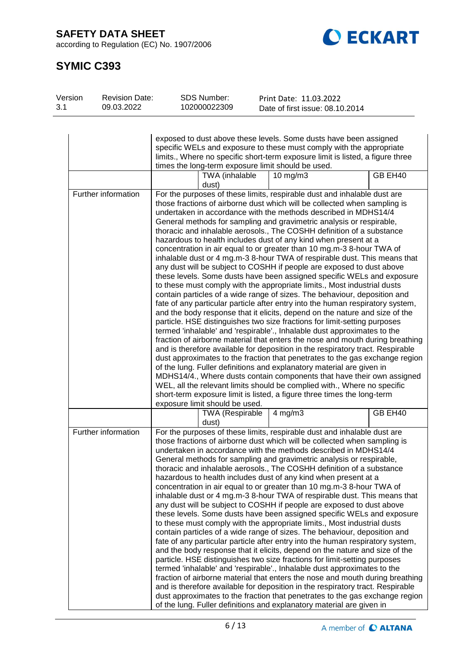according to Regulation (EC) No. 1907/2006

Revision Date:

SDS Number:



# **SYMIC C393**

| Version<br>3.1 | <b>Revision Date:</b><br>09.03.2022 | SDS Number:<br>102000022309                        | Print Date: 11.03.2022<br>Date of first issue: 08.10.2014                                                                                                                                                                                                                                                                                                                                                                                                                                                                                                                                                                                                                                                                                                                                                                                                                                                                                                                                                                                                                                                                                                                                                                                                                                                                                                                                                                                                                                                                                                                                                                                                                                                                                                                                             |         |
|----------------|-------------------------------------|----------------------------------------------------|-------------------------------------------------------------------------------------------------------------------------------------------------------------------------------------------------------------------------------------------------------------------------------------------------------------------------------------------------------------------------------------------------------------------------------------------------------------------------------------------------------------------------------------------------------------------------------------------------------------------------------------------------------------------------------------------------------------------------------------------------------------------------------------------------------------------------------------------------------------------------------------------------------------------------------------------------------------------------------------------------------------------------------------------------------------------------------------------------------------------------------------------------------------------------------------------------------------------------------------------------------------------------------------------------------------------------------------------------------------------------------------------------------------------------------------------------------------------------------------------------------------------------------------------------------------------------------------------------------------------------------------------------------------------------------------------------------------------------------------------------------------------------------------------------------|---------|
|                |                                     |                                                    |                                                                                                                                                                                                                                                                                                                                                                                                                                                                                                                                                                                                                                                                                                                                                                                                                                                                                                                                                                                                                                                                                                                                                                                                                                                                                                                                                                                                                                                                                                                                                                                                                                                                                                                                                                                                       |         |
|                |                                     |                                                    | exposed to dust above these levels. Some dusts have been assigned<br>specific WELs and exposure to these must comply with the appropriate<br>limits., Where no specific short-term exposure limit is listed, a figure three                                                                                                                                                                                                                                                                                                                                                                                                                                                                                                                                                                                                                                                                                                                                                                                                                                                                                                                                                                                                                                                                                                                                                                                                                                                                                                                                                                                                                                                                                                                                                                           |         |
|                |                                     | times the long-term exposure limit should be used. |                                                                                                                                                                                                                                                                                                                                                                                                                                                                                                                                                                                                                                                                                                                                                                                                                                                                                                                                                                                                                                                                                                                                                                                                                                                                                                                                                                                                                                                                                                                                                                                                                                                                                                                                                                                                       |         |
|                |                                     | TWA (inhalable<br>dust)                            | $10$ mg/m $3$                                                                                                                                                                                                                                                                                                                                                                                                                                                                                                                                                                                                                                                                                                                                                                                                                                                                                                                                                                                                                                                                                                                                                                                                                                                                                                                                                                                                                                                                                                                                                                                                                                                                                                                                                                                         | GB EH40 |
|                | Further information                 | exposure limit should be used.                     | For the purposes of these limits, respirable dust and inhalable dust are<br>those fractions of airborne dust which will be collected when sampling is<br>undertaken in accordance with the methods described in MDHS14/4<br>General methods for sampling and gravimetric analysis or respirable,<br>thoracic and inhalable aerosols., The COSHH definition of a substance<br>hazardous to health includes dust of any kind when present at a<br>concentration in air equal to or greater than 10 mg.m-3 8-hour TWA of<br>inhalable dust or 4 mg.m-3 8-hour TWA of respirable dust. This means that<br>any dust will be subject to COSHH if people are exposed to dust above<br>these levels. Some dusts have been assigned specific WELs and exposure<br>to these must comply with the appropriate limits., Most industrial dusts<br>contain particles of a wide range of sizes. The behaviour, deposition and<br>fate of any particular particle after entry into the human respiratory system,<br>and the body response that it elicits, depend on the nature and size of the<br>particle. HSE distinguishes two size fractions for limit-setting purposes<br>termed 'inhalable' and 'respirable'., Inhalable dust approximates to the<br>fraction of airborne material that enters the nose and mouth during breathing<br>and is therefore available for deposition in the respiratory tract. Respirable<br>dust approximates to the fraction that penetrates to the gas exchange region<br>of the lung. Fuller definitions and explanatory material are given in<br>MDHS14/4., Where dusts contain components that have their own assigned<br>WEL, all the relevant limits should be complied with., Where no specific<br>short-term exposure limit is listed, a figure three times the long-term |         |
|                |                                     | <b>TWA (Respirable</b><br>dust)                    | $4$ mg/m $3$                                                                                                                                                                                                                                                                                                                                                                                                                                                                                                                                                                                                                                                                                                                                                                                                                                                                                                                                                                                                                                                                                                                                                                                                                                                                                                                                                                                                                                                                                                                                                                                                                                                                                                                                                                                          | GB EH40 |
|                | Further information                 |                                                    | For the purposes of these limits, respirable dust and inhalable dust are<br>those fractions of airborne dust which will be collected when sampling is<br>undertaken in accordance with the methods described in MDHS14/4<br>General methods for sampling and gravimetric analysis or respirable,<br>thoracic and inhalable aerosols., The COSHH definition of a substance<br>hazardous to health includes dust of any kind when present at a<br>concentration in air equal to or greater than 10 mg.m-3 8-hour TWA of<br>inhalable dust or 4 mg.m-3 8-hour TWA of respirable dust. This means that<br>any dust will be subject to COSHH if people are exposed to dust above<br>these levels. Some dusts have been assigned specific WELs and exposure<br>to these must comply with the appropriate limits., Most industrial dusts<br>contain particles of a wide range of sizes. The behaviour, deposition and<br>fate of any particular particle after entry into the human respiratory system,<br>and the body response that it elicits, depend on the nature and size of the<br>particle. HSE distinguishes two size fractions for limit-setting purposes<br>termed 'inhalable' and 'respirable'., Inhalable dust approximates to the<br>fraction of airborne material that enters the nose and mouth during breathing<br>and is therefore available for deposition in the respiratory tract. Respirable<br>dust approximates to the fraction that penetrates to the gas exchange region<br>of the lung. Fuller definitions and explanatory material are given in                                                                                                                                                                                                                                  |         |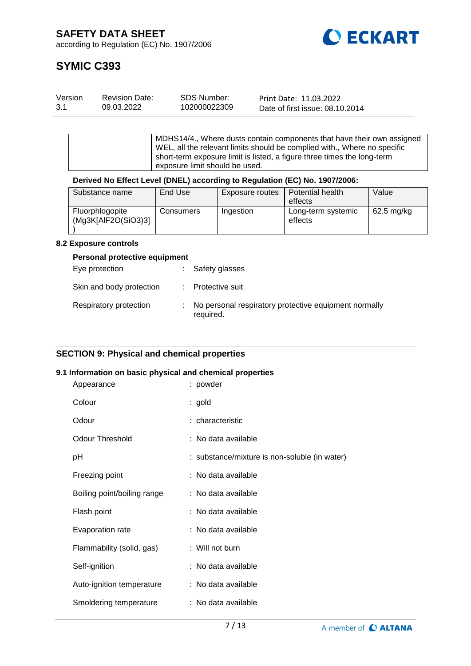

# **SYMIC C393**

| Version | <b>Revision Date:</b> | SDS Number:  | Print Date: 11.03.2022          |
|---------|-----------------------|--------------|---------------------------------|
| 3.1     | 09.03.2022            | 102000022309 | Date of first issue: 08.10.2014 |

MDHS14/4., Where dusts contain components that have their own assigned WEL, all the relevant limits should be complied with., Where no specific short-term exposure limit is listed, a figure three times the long-term exposure limit should be used.

# **Derived No Effect Level (DNEL) according to Regulation (EC) No. 1907/2006:**

| Substance name                         | End Use   | Exposure routes | Potential health              | Value      |
|----------------------------------------|-----------|-----------------|-------------------------------|------------|
|                                        |           |                 | effects                       |            |
| Fluorphlogopite<br>(Mq3K[AlF2O(SiO3)3] | Consumers | Ingestion       | Long-term systemic<br>effects | 62.5 mg/kg |

#### **8.2 Exposure controls**

#### **Personal protective equipment**

| Eye protection           | : Safety glasses                                                   |
|--------------------------|--------------------------------------------------------------------|
| Skin and body protection | : Protective suit                                                  |
| Respiratory protection   | No personal respiratory protective equipment normally<br>required. |

# **SECTION 9: Physical and chemical properties**

#### **9.1 Information on basic physical and chemical properties**

| Appearance                  | : powder                                      |
|-----------------------------|-----------------------------------------------|
| Colour                      | : gold                                        |
| Odour                       | : characteristic                              |
| <b>Odour Threshold</b>      | : No data available                           |
| рH                          | : substance/mixture is non-soluble (in water) |
| Freezing point              | : No data available                           |
| Boiling point/boiling range | : No data available                           |
| Flash point                 | : No data available                           |
| Evaporation rate            | : No data available                           |
| Flammability (solid, gas)   | $:$ Will not burn                             |
| Self-ignition               | : No data available                           |
| Auto-ignition temperature   | : No data available                           |
| Smoldering temperature      | : No data available                           |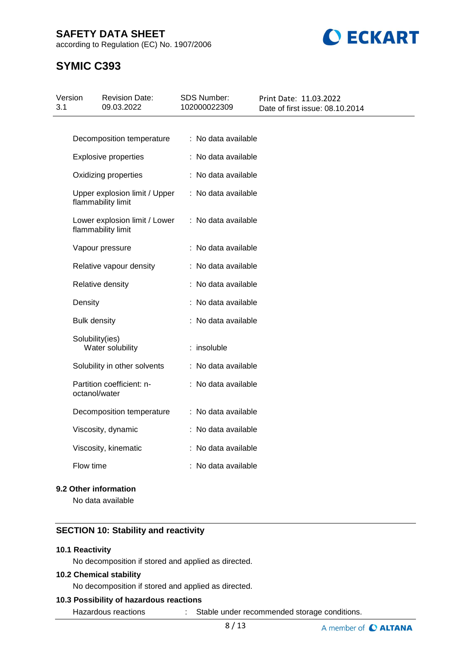according to Regulation (EC) No. 1907/2006



# **SYMIC C393**

| Version<br>3.1 | <b>Revision Date:</b><br>09.03.2022                 | <b>SDS Number:</b><br>102000022309 | Print Date: 11.03.2022<br>Date of first issue: 08.10.2014 |
|----------------|-----------------------------------------------------|------------------------------------|-----------------------------------------------------------|
|                |                                                     |                                    |                                                           |
|                | Decomposition temperature                           | : No data available                |                                                           |
|                | <b>Explosive properties</b>                         | : No data available                |                                                           |
|                | Oxidizing properties                                | : No data available                |                                                           |
|                | Upper explosion limit / Upper<br>flammability limit | : No data available                |                                                           |
|                | Lower explosion limit / Lower<br>flammability limit | : No data available                |                                                           |
|                | Vapour pressure                                     | : No data available                |                                                           |
|                | Relative vapour density                             | : No data available                |                                                           |
|                | Relative density                                    | : No data available                |                                                           |
|                | Density                                             | : No data available                |                                                           |
|                | <b>Bulk density</b>                                 | : No data available                |                                                           |
|                | Solubility(ies)<br>Water solubility                 | $:$ insoluble                      |                                                           |
|                | Solubility in other solvents                        | : No data available                |                                                           |
|                | Partition coefficient: n-<br>octanol/water          | : No data available                |                                                           |
|                | Decomposition temperature                           | : No data available                |                                                           |
|                | Viscosity, dynamic                                  | : No data available                |                                                           |
|                | Viscosity, kinematic                                | : No data available                |                                                           |
|                | Flow time                                           | : No data available                |                                                           |
|                |                                                     |                                    |                                                           |

# **9.2 Other information**

No data available

# **SECTION 10: Stability and reactivity**

### **10.1 Reactivity**

No decomposition if stored and applied as directed.

#### **10.2 Chemical stability**

No decomposition if stored and applied as directed.

### **10.3 Possibility of hazardous reactions**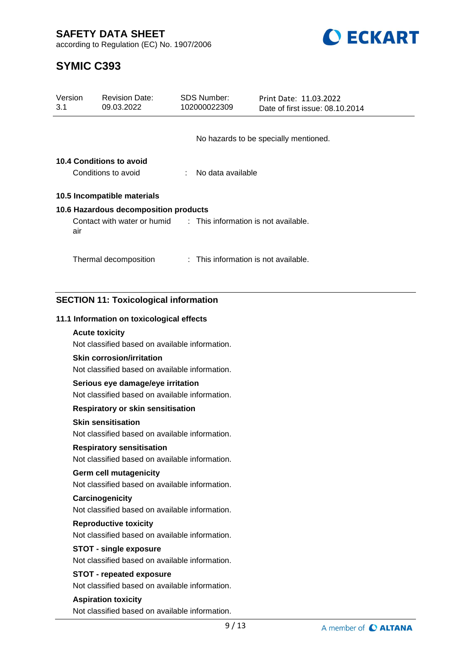

according to Regulation (EC) No. 1907/2006

| Version<br>3.1 | <b>Revision Date:</b><br>09.03.2022                                                | <b>SDS Number:</b><br>102000022309 | Print Date: 11.03.2022<br>Date of first issue: 08.10.2014 |
|----------------|------------------------------------------------------------------------------------|------------------------------------|-----------------------------------------------------------|
|                |                                                                                    |                                    |                                                           |
|                |                                                                                    |                                    | No hazards to be specially mentioned.                     |
|                | 10.4 Conditions to avoid                                                           |                                    |                                                           |
|                | Conditions to avoid                                                                | No data available                  |                                                           |
|                | 10.5 Incompatible materials                                                        |                                    |                                                           |
|                | 10.6 Hazardous decomposition products                                              |                                    |                                                           |
| air            | Contact with water or humid : This information is not available.                   |                                    |                                                           |
|                | Thermal decomposition                                                              |                                    | : This information is not available.                      |
|                | <b>SECTION 11: Toxicological information</b>                                       |                                    |                                                           |
|                | 11.1 Information on toxicological effects                                          |                                    |                                                           |
|                | <b>Acute toxicity</b>                                                              |                                    |                                                           |
|                | Not classified based on available information.                                     |                                    |                                                           |
|                | <b>Skin corrosion/irritation</b><br>Not classified based on available information. |                                    |                                                           |
|                | Serious eye damage/eye irritation                                                  |                                    |                                                           |
|                | Not classified based on available information.                                     |                                    |                                                           |
|                | <b>Respiratory or skin sensitisation</b>                                           |                                    |                                                           |
|                | <b>Skin sensitisation</b>                                                          |                                    |                                                           |
|                | Not classified based on available information.                                     |                                    |                                                           |
|                | <b>Respiratory sensitisation</b>                                                   |                                    |                                                           |
|                | Not classified based on available information.                                     |                                    |                                                           |
|                | <b>Germ cell mutagenicity</b><br>Not classified based on available information.    |                                    |                                                           |
|                | Carcinogenicity                                                                    |                                    |                                                           |
|                | Not classified based on available information.                                     |                                    |                                                           |
|                | <b>Reproductive toxicity</b>                                                       |                                    |                                                           |
|                | Not classified based on available information.                                     |                                    |                                                           |
|                | <b>STOT - single exposure</b>                                                      |                                    |                                                           |
|                | Not classified based on available information.                                     |                                    |                                                           |
|                | <b>STOT - repeated exposure</b>                                                    |                                    |                                                           |
|                | Not classified based on available information.                                     |                                    |                                                           |
|                | <b>Aspiration toxicity</b><br>Not classified based on available information.       |                                    |                                                           |
|                |                                                                                    | 9/13                               | A member of C ALTA                                        |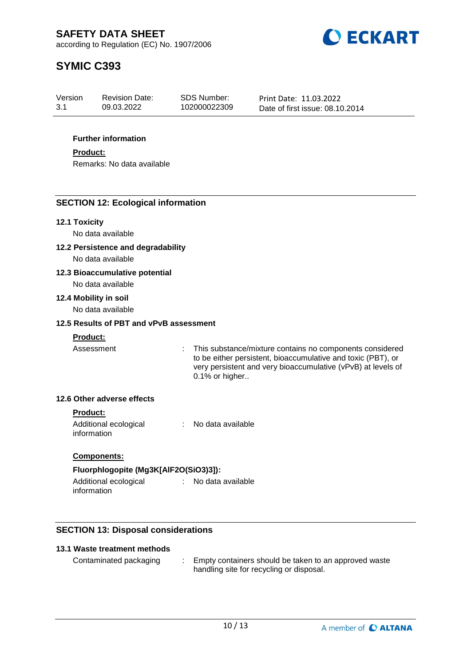

# **SYMIC C393**

| Version | <b>Revision Date:</b> | SDS Number:  | Print Date: 11.03.2022          |
|---------|-----------------------|--------------|---------------------------------|
| 3.1     | 09.03.2022            | 102000022309 | Date of first issue: 08.10.2014 |

#### **Further information**

#### **Product:**

Remarks: No data available

# **SECTION 12: Ecological information**

#### **12.1 Toxicity**

No data available

**12.2 Persistence and degradability**

No data available

#### **12.3 Bioaccumulative potential**

No data available

#### **12.4 Mobility in soil**

No data available

#### **12.5 Results of PBT and vPvB assessment**

#### **Product:**

Assessment : This substance/mixture contains no components considered to be either persistent, bioaccumulative and toxic (PBT), or very persistent and very bioaccumulative (vPvB) at levels of 0.1% or higher..

#### **12.6 Other adverse effects**

#### **Product:**

Additional ecological information : No data available

#### **Components:**

#### **Fluorphlogopite (Mg3K[AlF2O(SiO3)3]):**

Additional ecological information : No data available

# **SECTION 13: Disposal considerations**

### **13.1 Waste treatment methods**

Contaminated packaging : Empty containers should be taken to an approved waste handling site for recycling or disposal.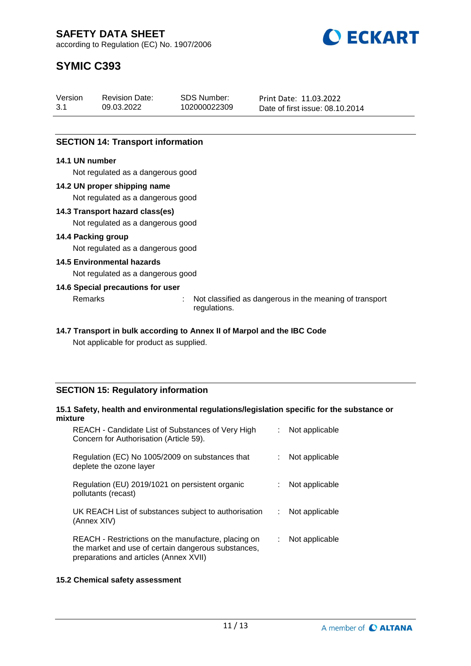

# **SYMIC C393**

| Version | <b>Revision Date:</b> | SDS Number:  | Print Date: 11.03.2022          |
|---------|-----------------------|--------------|---------------------------------|
| 3.1     | 09.03.2022            | 102000022309 | Date of first issue: 08.10.2014 |

# **SECTION 14: Transport information**

#### **14.1 UN number**

Not regulated as a dangerous good

#### **14.2 UN proper shipping name**

Not regulated as a dangerous good

#### **14.3 Transport hazard class(es)**

Not regulated as a dangerous good

#### **14.4 Packing group**

Not regulated as a dangerous good

#### **14.5 Environmental hazards**

Not regulated as a dangerous good

#### **14.6 Special precautions for user**

Remarks : Not classified as dangerous in the meaning of transport regulations.

# **14.7 Transport in bulk according to Annex II of Marpol and the IBC Code**

Not applicable for product as supplied.

# **SECTION 15: Regulatory information**

#### **15.1 Safety, health and environmental regulations/legislation specific for the substance or mixture**

| REACH - Candidate List of Substances of Very High<br>Concern for Authorisation (Article 59).                                                         |   | Not applicable |
|------------------------------------------------------------------------------------------------------------------------------------------------------|---|----------------|
| Regulation (EC) No 1005/2009 on substances that<br>deplete the ozone layer                                                                           |   | Not applicable |
| Regulation (EU) 2019/1021 on persistent organic<br>pollutants (recast)                                                                               |   | Not applicable |
| UK REACH List of substances subject to authorisation<br>(Annex XIV)                                                                                  | ÷ | Not applicable |
| REACH - Restrictions on the manufacture, placing on<br>the market and use of certain dangerous substances,<br>preparations and articles (Annex XVII) | ÷ | Not applicable |

#### **15.2 Chemical safety assessment**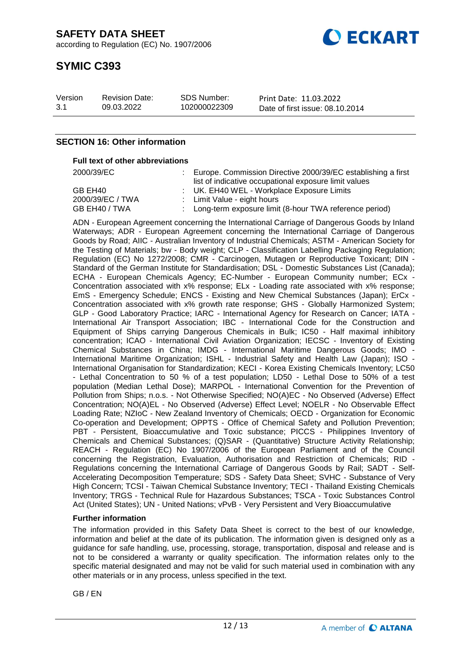

# **SYMIC C393**

| Version | <b>Revision Date:</b> | <b>SDS Number:</b> | Print Date: 11.03.2022          |
|---------|-----------------------|--------------------|---------------------------------|
| 3.1     | 09.03.2022            | 102000022309       | Date of first issue: 08.10.2014 |

### **SECTION 16: Other information**

#### **Full text of other abbreviations**

| 2000/39/EC       | Europe. Commission Directive 2000/39/EC establishing a first |
|------------------|--------------------------------------------------------------|
|                  | list of indicative occupational exposure limit values        |
| GB EH40          | : UK. EH40 WEL - Workplace Exposure Limits                   |
| 2000/39/EC / TWA | : Limit Value - eight hours                                  |
| GB EH40 / TWA    | : Long-term exposure limit (8-hour TWA reference period)     |

ADN - European Agreement concerning the International Carriage of Dangerous Goods by Inland Waterways; ADR - European Agreement concerning the International Carriage of Dangerous Goods by Road; AIIC - Australian Inventory of Industrial Chemicals; ASTM - American Society for the Testing of Materials; bw - Body weight; CLP - Classification Labelling Packaging Regulation; Regulation (EC) No 1272/2008; CMR - Carcinogen, Mutagen or Reproductive Toxicant; DIN - Standard of the German Institute for Standardisation; DSL - Domestic Substances List (Canada); ECHA - European Chemicals Agency; EC-Number - European Community number; ECx - Concentration associated with x% response; ELx - Loading rate associated with x% response; EmS - Emergency Schedule; ENCS - Existing and New Chemical Substances (Japan); ErCx - Concentration associated with x% growth rate response; GHS - Globally Harmonized System; GLP - Good Laboratory Practice; IARC - International Agency for Research on Cancer; IATA - International Air Transport Association; IBC - International Code for the Construction and Equipment of Ships carrying Dangerous Chemicals in Bulk; IC50 - Half maximal inhibitory concentration; ICAO - International Civil Aviation Organization; IECSC - Inventory of Existing Chemical Substances in China; IMDG - International Maritime Dangerous Goods; IMO - International Maritime Organization; ISHL - Industrial Safety and Health Law (Japan); ISO - International Organisation for Standardization; KECI - Korea Existing Chemicals Inventory; LC50 - Lethal Concentration to 50 % of a test population; LD50 - Lethal Dose to 50% of a test population (Median Lethal Dose); MARPOL - International Convention for the Prevention of Pollution from Ships; n.o.s. - Not Otherwise Specified; NO(A)EC - No Observed (Adverse) Effect Concentration; NO(A)EL - No Observed (Adverse) Effect Level; NOELR - No Observable Effect Loading Rate; NZIoC - New Zealand Inventory of Chemicals; OECD - Organization for Economic Co-operation and Development; OPPTS - Office of Chemical Safety and Pollution Prevention; PBT - Persistent, Bioaccumulative and Toxic substance; PICCS - Philippines Inventory of Chemicals and Chemical Substances; (Q)SAR - (Quantitative) Structure Activity Relationship; REACH - Regulation (EC) No 1907/2006 of the European Parliament and of the Council concerning the Registration, Evaluation, Authorisation and Restriction of Chemicals; RID - Regulations concerning the International Carriage of Dangerous Goods by Rail; SADT - Self-Accelerating Decomposition Temperature; SDS - Safety Data Sheet; SVHC - Substance of Very High Concern; TCSI - Taiwan Chemical Substance Inventory; TECI - Thailand Existing Chemicals Inventory; TRGS - Technical Rule for Hazardous Substances; TSCA - Toxic Substances Control Act (United States); UN - United Nations; vPvB - Very Persistent and Very Bioaccumulative

#### **Further information**

The information provided in this Safety Data Sheet is correct to the best of our knowledge, information and belief at the date of its publication. The information given is designed only as a guidance for safe handling, use, processing, storage, transportation, disposal and release and is not to be considered a warranty or quality specification. The information relates only to the specific material designated and may not be valid for such material used in combination with any other materials or in any process, unless specified in the text.

GB / EN